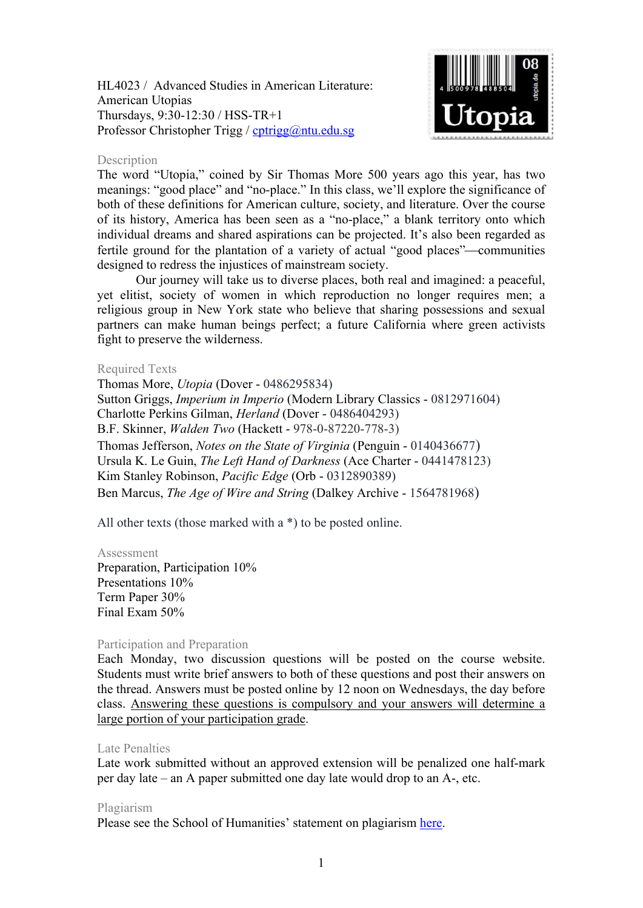HL4023 / Advanced Studies in American Literature: American Utopias Thursdays, 9:30-12:30 / HSS-TR+1 Professor Christopher Trigg / [cptrigg@ntu.edu.sg](mailto:cptrigg@ntu.edu.sg)



### Description

The word "Utopia," coined by Sir Thomas More 500 years ago this year, has two meanings: "good place" and "no-place." In this class, we'll explore the significance of both of these definitions for American culture, society, and literature. Over the course of its history, America has been seen as a "no-place," a blank territory onto which individual dreams and shared aspirations can be projected. It's also been regarded as fertile ground for the plantation of a variety of actual "good places"—communities designed to redress the injustices of mainstream society.

Our journey will take us to diverse places, both real and imagined: a peaceful, yet elitist, society of women in which reproduction no longer requires men; a religious group in New York state who believe that sharing possessions and sexual partners can make human beings perfect; a future California where green activists fight to preserve the wilderness.

### Required Texts

Thomas More, *Utopia* (Dover - 0486295834) Sutton Griggs, *Imperium in Imperio* (Modern Library Classics - 0812971604) Charlotte Perkins Gilman, *Herland* (Dover - 0486404293) B.F. Skinner, *Walden Two* (Hackett - 978-0-87220-778-3) Thomas Jefferson, *Notes on the State of Virginia* (Penguin - 0140436677) Ursula K. Le Guin, *The Left Hand of Darkness* (Ace Charter - 0441478123) Kim Stanley Robinson, *Pacific Edge* (Orb - 0312890389) Ben Marcus, *The Age of Wire and String* (Dalkey Archive - 1564781968)

All other texts (those marked with a  $*$ ) to be posted online.

#### Assessment

Preparation, Participation 10% Presentations 10% Term Paper 30% Final Exam 50%

## Participation and Preparation

Each Monday, two discussion questions will be posted on the course website. Students must write brief answers to both of these questions and post their answers on the thread. Answers must be posted online by 12 noon on Wednesdays, the day before class. Answering these questions is compulsory and your answers will determine a large portion of your participation grade.

## Late Penalties

Late work submitted without an approved extension will be penalized one half-mark per day late – an A paper submitted one day late would drop to an A-, etc.

#### Plagiarism

Please see the School of Humanities' statement on plagiarism [here.](http://www.soh.ntu.edu.sg/Programmes/Undergraduate/current/Pages/forms.aspx)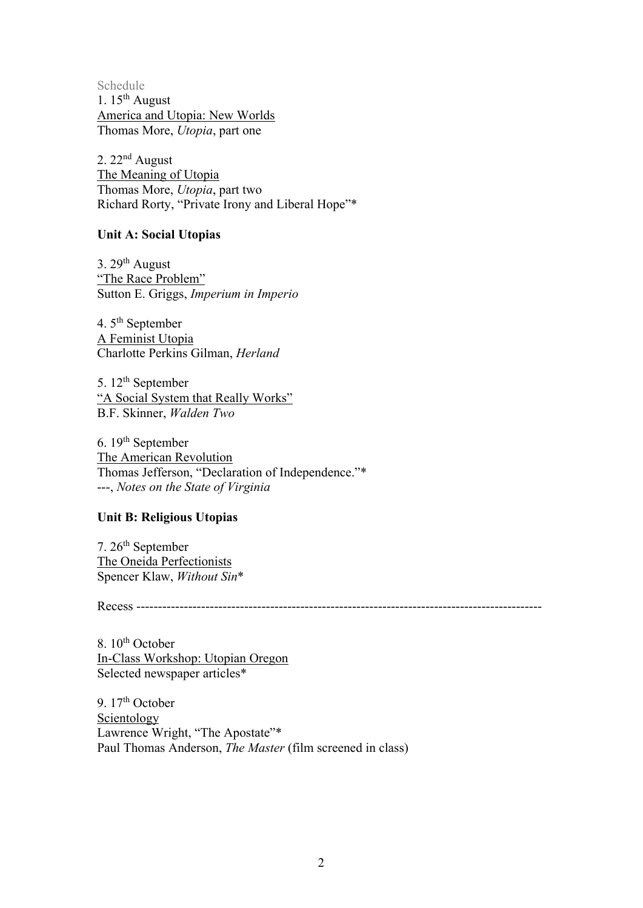Schedule 1.  $15<sup>th</sup>$  August America and Utopia: New Worlds Thomas More, *Utopia*, part one

2. 22nd August The Meaning of Utopia Thomas More, *Utopia*, part two Richard Rorty, "Private Irony and Liberal Hope"\*

## **Unit A: Social Utopias**

3.  $29<sup>th</sup>$  August "The Race Problem" Sutton E. Griggs, *Imperium in Imperio*

4. 5<sup>th</sup> September A Feminist Utopia Charlotte Perkins Gilman, *Herland*

5. 12<sup>th</sup> September "A Social System that Really Works" B.F. Skinner, *Walden Two*

6. 19th September The American Revolution Thomas Jefferson, "Declaration of Independence."\* ---, *Notes on the State of Virginia*

# **Unit B: Religious Utopias**

7. 26<sup>th</sup> September The Oneida Perfectionists Spencer Klaw, *Without Sin*\*

Recess ----------------------------------------------------------------------------------------------

8. 10<sup>th</sup> October In-Class Workshop: Utopian Oregon Selected newspaper articles\*

9. 17<sup>th</sup> October Scientology Lawrence Wright, "The Apostate"\* Paul Thomas Anderson, *The Master* (film screened in class)